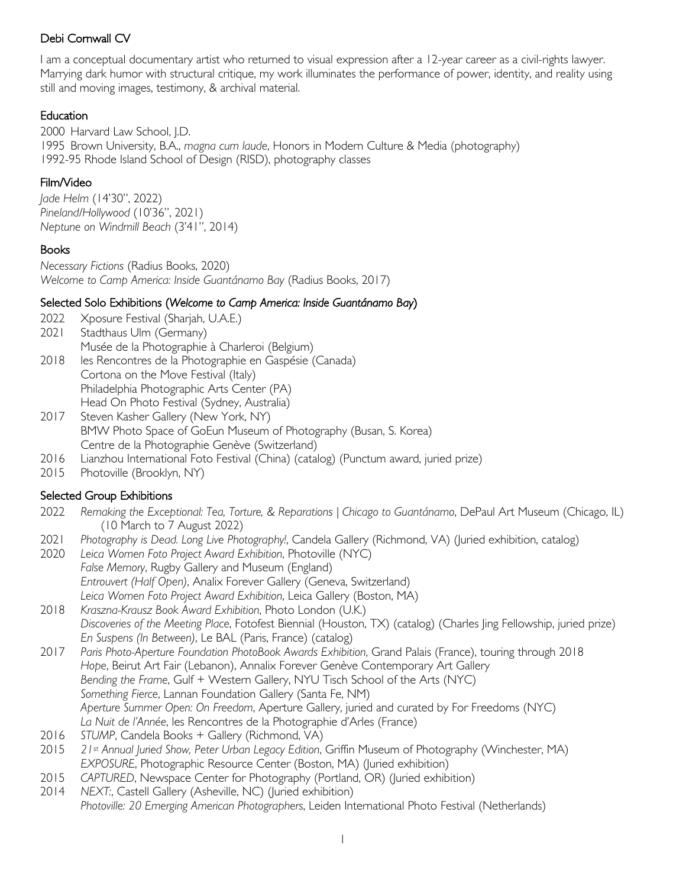I am a conceptual documentary artist who returned to visual expression after a 12-year career as a civil-rights lawyer. Marrying dark humor with structural critique, my work illuminates the performance of power, identity, and reality using still and moving images, testimony, & archival material.

## Education

2000 Harvard Law School, J.D. 1995 Brown University, B.A., *magna cum laude*, Honors in Modern Culture & Media (photography) 1992-95 Rhode Island School of Design (RISD), photography classes

# Film/Video

*Jade Helm* (14'30", 2022) *Pineland/Hollywood* (10'36", 2021) *Neptune on Windmill Beach* (3'41", 2014)

## Books

*Necessary Fictions* (Radius Books, 2020) *Welcome to Camp America: Inside Guantánamo Bay* (Radius Books, 2017)

# Selected Solo Exhibitions (*Welcome to Camp America: Inside Guantánamo Bay*)

- 2022 Xposure Festival (Sharjah, U.A.E.)
- 2021 Stadthaus Ulm (Germany)
- Musée de la Photographie à Charleroi (Belgium) 2018 les Rencontres de la Photographie en Gaspésie (Canada) Cortona on the Move Festival (Italy) Philadelphia Photographic Arts Center (PA) Head On Photo Festival (Sydney, Australia)
- 2017 Steven Kasher Gallery (New York, NY) BMW Photo Space of GoEun Museum of Photography (Busan, S. Korea) Centre de la Photographie Genève (Switzerland)
- 2016 Lianzhou International Foto Festival (China) (catalog) (Punctum award, juried prize)
- 2015 Photoville (Brooklyn, NY)

## Selected Group Exhibitions

- 2022 *Remaking the Exceptional: Tea, Torture, & Reparations | Chicago to Guantánamo*, DePaul Art Museum (Chicago, IL) (10 March to 7 August 2022)
- 2021 *Photography is Dead. Long Live Photography!*, Candela Gallery (Richmond, VA) (Juried exhibition, catalog)
- 2020 *Leica Women Foto Project Award Exhibition*, Photoville (NYC) *False Memory*, Rugby Gallery and Museum (England) *Entrouvert (Half Open)*, Analix Forever Gallery (Geneva, Switzerland) *Leica Women Foto Project Award Exhibition*, Leica Gallery (Boston, MA)
- 2018 *Kraszna-Krausz Book Award Exhibition*, Photo London (U.K.) *Discoveries of the Meeting Place*, Fotofest Biennial (Houston, TX) (catalog) (Charles Jing Fellowship, juried prize) *En Suspens (In Between)*, Le BAL (Paris, France) (catalog)
- 2017 *Paris Photo-Aperture Foundation PhotoBook Awards Exhibition*, Grand Palais (France), touring through 2018 *Hope*, Beirut Art Fair (Lebanon), Annalix Forever Genève Contemporary Art Gallery *Bending the Frame*, Gulf + Western Gallery, NYU Tisch School of the Arts (NYC) *Something Fierce*, Lannan Foundation Gallery (Santa Fe, NM) *Aperture Summer Open: On Freedom*, Aperture Gallery, juried and curated by For Freedoms (NYC) *La Nuit de l'Année*, les Rencontres de la Photographie d'Arles (France)
- 2016 *STUMP*, Candela Books + Gallery (Richmond, VA)
- 2015 *21st Annual Juried Show, Peter Urban Legacy Edition*, Griffin Museum of Photography (Winchester, MA) *EXPOSURE*, Photographic Resource Center (Boston, MA) (Juried exhibition)
- 2015 *CAPTURED*, Newspace Center for Photography (Portland, OR) (Juried exhibition)
- 2014 *NEXT:*, Castell Gallery (Asheville, NC) (Juried exhibition) *Photoville: 20 Emerging American Photographers*, Leiden International Photo Festival (Netherlands)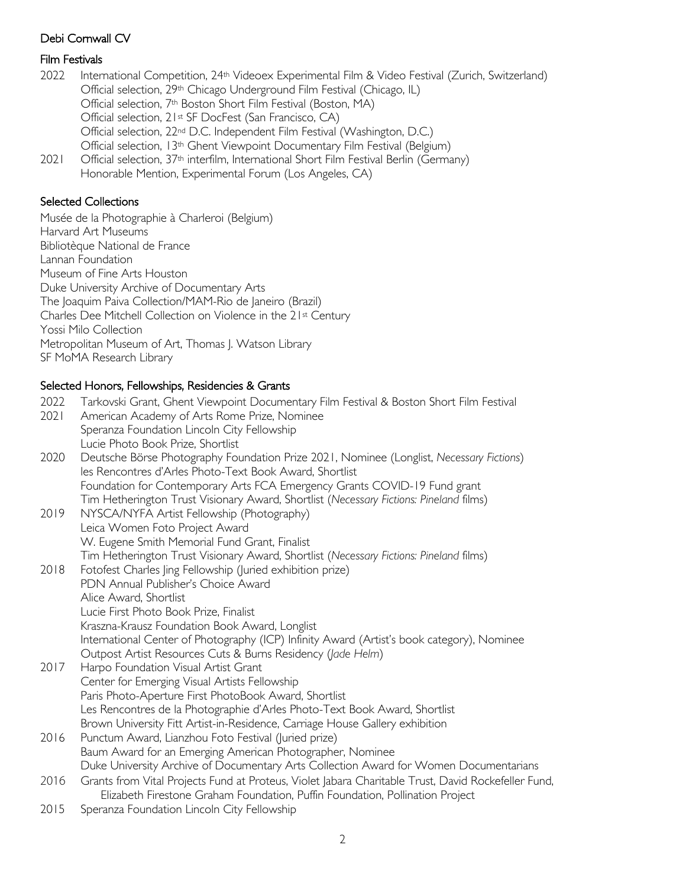## Film Festivals

- 2022 International Competition, 24th Videoex Experimental Film & Video Festival (Zurich, Switzerland) Official selection, 29th Chicago Underground Film Festival (Chicago, IL) Official selection, 7th Boston Short Film Festival (Boston, MA) Official selection, 21st SF DocFest (San Francisco, CA) Official selection, 22nd D.C. Independent Film Festival (Washington, D.C.) Official selection, 13th Ghent Viewpoint Documentary Film Festival (Belgium) 2021 Official selection, 37<sup>th</sup> interfilm, International Short Film Festival Berlin (Germany)
- Honorable Mention, Experimental Forum (Los Angeles, CA)

# Selected Collections

Musée de la Photographie à Charleroi (Belgium) Harvard Art Museums Bibliotèque National de France Lannan Foundation Museum of Fine Arts Houston Duke University Archive of Documentary Arts The Joaquim Paiva Collection/MAM-Rio de Janeiro (Brazil) Charles Dee Mitchell Collection on Violence in the 21st Century Yossi Milo Collection Metropolitan Museum of Art, Thomas J. Watson Library SF MoMA Research Library

### Selected Honors, Fellowships, Residencies & Grants

| 2022 | Tarkovski Grant, Ghent Viewpoint Documentary Film Festival & Boston Short Film Festival                                                                                              |
|------|--------------------------------------------------------------------------------------------------------------------------------------------------------------------------------------|
| 2021 | American Academy of Arts Rome Prize, Nominee                                                                                                                                         |
|      | Speranza Foundation Lincoln City Fellowship                                                                                                                                          |
|      | Lucie Photo Book Prize, Shortlist                                                                                                                                                    |
| 2020 | Deutsche Börse Photography Foundation Prize 2021, Nominee (Longlist, Necessary Fictions)<br>les Rencontres d'Arles Photo-Text Book Award, Shortlist                                  |
|      | Foundation for Contemporary Arts FCA Emergency Grants COVID-19 Fund grant                                                                                                            |
|      | Tim Hetherington Trust Visionary Award, Shortlist (Necessary Fictions: Pineland films)                                                                                               |
| 2019 | NYSCA/NYFA Artist Fellowship (Photography)                                                                                                                                           |
|      | Leica Women Foto Project Award                                                                                                                                                       |
|      | W. Eugene Smith Memorial Fund Grant, Finalist                                                                                                                                        |
|      | Tim Hetherington Trust Visionary Award, Shortlist (Necessary Fictions: Pineland films)                                                                                               |
| 2018 | Fotofest Charles Jing Fellowship (Juried exhibition prize)                                                                                                                           |
|      | PDN Annual Publisher's Choice Award                                                                                                                                                  |
|      | Alice Award, Shortlist                                                                                                                                                               |
|      | Lucie First Photo Book Prize, Finalist                                                                                                                                               |
|      | Kraszna-Krausz Foundation Book Award, Longlist                                                                                                                                       |
|      | International Center of Photography (ICP) Infinity Award (Artist's book category), Nominee                                                                                           |
|      | Outpost Artist Resources Cuts & Burns Residency (Jade Helm)                                                                                                                          |
| 2017 | Harpo Foundation Visual Artist Grant                                                                                                                                                 |
|      | Center for Emerging Visual Artists Fellowship                                                                                                                                        |
|      | Paris Photo-Aperture First PhotoBook Award, Shortlist                                                                                                                                |
|      | Les Rencontres de la Photographie d'Arles Photo-Text Book Award, Shortlist                                                                                                           |
|      | Brown University Fitt Artist-in-Residence, Carriage House Gallery exhibition                                                                                                         |
| 2016 | Punctum Award, Lianzhou Foto Festival (Juried prize)                                                                                                                                 |
|      | Baum Award for an Emerging American Photographer, Nominee                                                                                                                            |
|      | Duke University Archive of Documentary Arts Collection Award for Women Documentarians                                                                                                |
| 2016 | Grants from Vital Projects Fund at Proteus, Violet Jabara Charitable Trust, David Rockefeller Fund,<br>Elizabeth Firestone Graham Foundation, Puffin Foundation, Pollination Project |
| 2015 | $\sim$ $\sim$ $\sim$ $\sim$ $\sim$ $\sim$ $\sim$                                                                                                                                     |

2015 Speranza Foundation Lincoln City Fellowship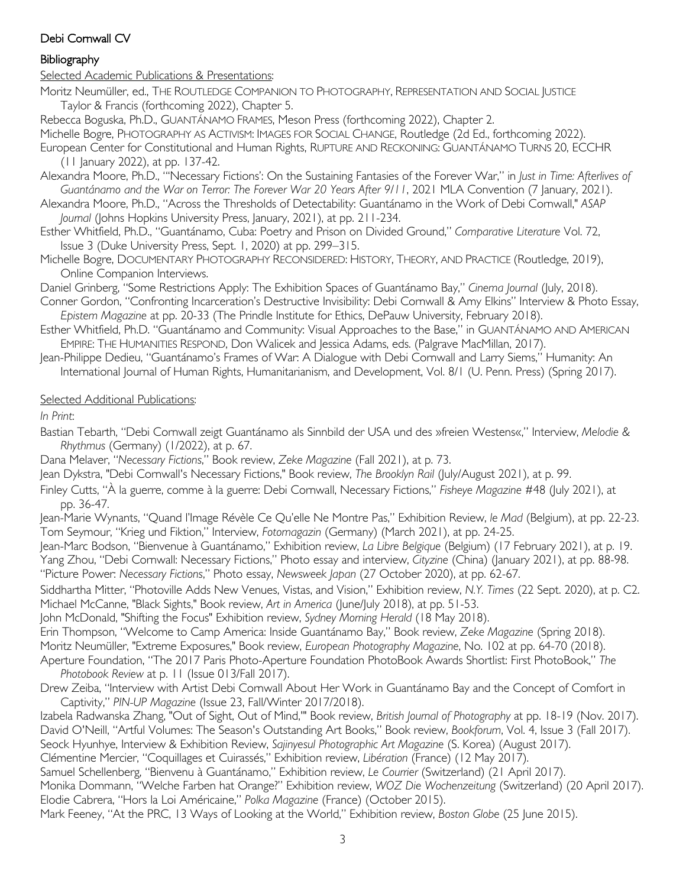### **Bibliography**

#### Selected Academic Publications & Presentations:

- Moritz Neumüller, ed., THE ROUTLEDGE COMPANION TO PHOTOGRAPHY, REPRESENTATION AND SOCIAL JUSTICE Taylor & Francis (forthcoming 2022), Chapter 5.
- Rebecca Boguska, Ph.D., GUANTÁNAMO FRAMES, Meson Press (forthcoming 2022), Chapter 2.
- Michelle Bogre, PHOTOGRAPHY AS ACTIVISM: IMAGES FOR SOCIAL CHANGE, Routledge (2d Ed., forthcoming 2022).
- European Center for Constitutional and Human Rights, RUPTURE AND RECKONING: GUANTÁNAMO TURNS 20, ECCHR (11 January 2022), at pp. 137-42.
- Alexandra Moore, Ph.D., "'Necessary Fictions': On the Sustaining Fantasies of the Forever War," in *Just in Time: Afterlives of Guantánamo and the War on Terror: The Forever War 20 Years After 9/11*, 2021 MLA Convention (7 January, 2021).
- Alexandra Moore, Ph.D., "Across the Thresholds of Detectability: Guantánamo in the Work of Debi Cornwall," *ASAP Journal* (Johns Hopkins University Press, January, 2021), at pp. 211-234.
- Esther Whitfield, Ph.D., "Guantánamo, Cuba: Poetry and Prison on Divided Ground," *Comparative Literature* Vol. 72, Issue 3 (Duke University Press, Sept. 1, 2020) at pp. 299–315.
- Michelle Bogre, DOCUMENTARY PHOTOGRAPHY RECONSIDERED: HISTORY, THEORY, AND PRACTICE (Routledge, 2019), Online Companion Interviews.

Daniel Grinberg, "Some Restrictions Apply: The Exhibition Spaces of Guantánamo Bay," *Cinema Journal* (July, 2018).

- Conner Gordon, "Confronting Incarceration's Destructive Invisibility: Debi Cornwall & Amy Elkins" Interview & Photo Essay, *Epistem Magazine* at pp. 20-33 (The Prindle Institute for Ethics, DePauw University, February 2018).
- Esther Whitfield, Ph.D. "Guantánamo and Community: Visual Approaches to the Base," in GUANTÁNAMO AND AMERICAN EMPIRE: THE HUMANITIES RESPOND, Don Walicek and Jessica Adams, eds. (Palgrave MacMillan, 2017).
- Jean-Philippe Dedieu, "Guantánamo's Frames of War: A Dialogue with Debi Cornwall and Larry Siems," Humanity: An International Journal of Human Rights, Humanitarianism, and Development, Vol. 8/1 (U. Penn. Press) (Spring 2017).

### Selected Additional Publications:

*In Print*:

- Bastian Tebarth, "Debi Cornwall zeigt Guantánamo als Sinnbild der USA und des »freien Westens«," Interview, *Melodie & Rhythmus* (Germany) (1/2022), at p. 67.
- Dana Melaver, "*Necessary Fictions*," Book review, *Zeke Magazine* (Fall 2021), at p. 73.
- Jean Dykstra, "Debi Cornwall's Necessary Fictions," Book review, *The Brooklyn Rail* (July/August 2021), at p. 99.
- Finley Cutts, "À la guerre, comme à la guerre: Debi Cornwall, Necessary Fictions," *Fisheye Magazine* #48 (July 2021), at pp. 36-47.
- Jean-Marie Wynants, "Quand l'Image Révèle Ce Qu'elle Ne Montre Pas," Exhibition Review, *le Mad* (Belgium), at pp. 22-23. Tom Seymour, "Krieg und Fiktion," Interview, *Fotomagazin* (Germany) (March 2021), at pp. 24-25.
- Jean-Marc Bodson, "Bienvenue à Guantánamo," Exhibition review, *La Libre Belgique* (Belgium) (17 February 2021), at p. 19. Yang Zhou, "Debi Cornwall: Necessary Fictions," Photo essay and interview, *Cityzine* (China) (January 2021), at pp. 88-98. "Picture Power: *Necessary Fictions*," Photo essay, *Newsweek Japan* (27 October 2020), at pp. 62-67.
- Siddhartha Mitter, "Photoville Adds New Venues, Vistas, and Vision," Exhibition review, *N.Y. Times* (22 Sept. 2020), at p. C2. Michael McCanne, "Black Sights," Book review, *Art in America* (June/July 2018), at pp. 51-53.
- John McDonald, "Shifting the Focus" Exhibition review, *Sydney Morning Herald* (18 May 2018).
- Erin Thompson, "Welcome to Camp America: Inside Guantánamo Bay," Book review, *Zeke Magazine* (Spring 2018).
- Moritz Neumüller, "Extreme Exposures," Book review, *European Photography Magazine*, No. 102 at pp. 64-70 (2018).
- Aperture Foundation, "The 2017 Paris Photo-Aperture Foundation PhotoBook Awards Shortlist: First PhotoBook," *The Photobook Review* at p. 11 (Issue 013/Fall 2017).
- Drew Zeiba, "Interview with Artist Debi Cornwall About Her Work in Guantánamo Bay and the Concept of Comfort in Captivity," *PIN-UP Magazine* (Issue 23, Fall/Winter 2017/2018).
- Izabela Radwanska Zhang, "Out of Sight, Out of Mind,'" Book review, *British Journal of Photography* at pp. 18-19 (Nov. 2017). David O'Neill, "Artful Volumes: The Season's Outstanding Art Books," Book review, *Bookforum*, Vol. 4, Issue 3 (Fall 2017). Seock Hyunhye, Interview & Exhibition Review, *Sajinyesul Photographic Art Magazine* (S. Korea) (August 2017). Clémentine Mercier, "Coquillages et Cuirassés," Exhibition review, *Libération* (France) (12 May 2017). Samuel Schellenberg, "Bienvenu à Guantánamo," Exhibition review, *Le Courrier* (Switzerland) (21 April 2017).
- Monika Dommann, "Welche Farben hat Orange?" Exhibition review, *WOZ Die Wochenzeitung* (Switzerland) (20 April 2017). Elodie Cabrera, "Hors la Loi Américaine," *Polka Magazine* (France) (October 2015).
- Mark Feeney, "At the PRC, 13 Ways of Looking at the World," Exhibition review, *Boston Globe* (25 June 2015).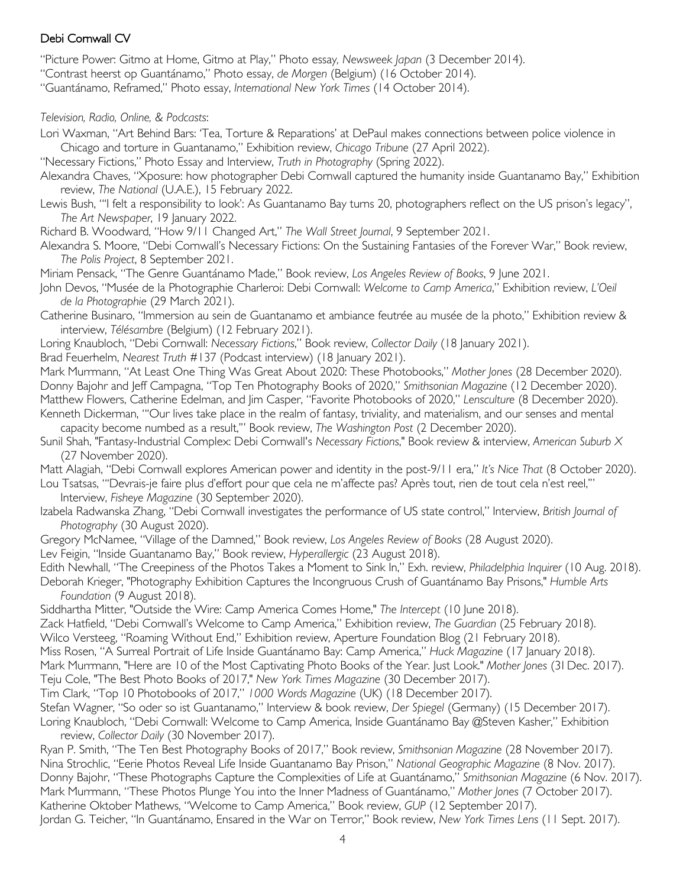"Picture Power: Gitmo at Home, Gitmo at Play," Photo essay*, Newsweek Japan* (3 December 2014).

"Contrast heerst op Guantánamo," Photo essay, *de Morgen* (Belgium) (16 October 2014).

"Guantánamo, Reframed," Photo essay, *International New York Times* (14 October 2014).

### *Television, Radio, Online, & Podcasts*:

Lori Waxman, "Art Behind Bars: 'Tea, Torture & Reparations' at DePaul makes connections between police violence in Chicago and torture in Guantanamo," Exhibition review, *Chicago Tribune* (27 April 2022).

"Necessary Fictions," Photo Essay and Interview, *Truth in Photography* (Spring 2022).

Alexandra Chaves, "Xposure: how photographer Debi Cornwall captured the humanity inside Guantanamo Bay," Exhibition review, *The National* (U.A.E.), 15 February 2022.

Lewis Bush, "'I felt a responsibility to look': As Guantanamo Bay turns 20, photographers reflect on the US prison's legacy", *The Art Newspaper*, 19 January 2022.

Richard B. Woodward, "How 9/11 Changed Art," *The Wall Street Journal*, 9 September 2021.

Alexandra S. Moore, "Debi Cornwall's Necessary Fictions: On the Sustaining Fantasies of the Forever War," Book review, *The Polis Project*, 8 September 2021.

Miriam Pensack, "The Genre Guantánamo Made," Book review, *Los Angeles Review of Books*, 9 June 2021.

John Devos, "Musée de la Photographie Charleroi: Debi Cornwall: *Welcome to Camp America*," Exhibition review, *L'Oeil de la Photographie* (29 March 2021).

Catherine Businaro, "Immersion au sein de Guantanamo et ambiance feutrée au musée de la photo," Exhibition review & interview, *Télésambre* (Belgium) (12 February 2021).

Loring Knaubloch, "Debi Cornwall: *Necessary Fictions*," Book review, *Collector Daily* (18 January 2021).

Brad Feuerhelm, *Nearest Truth* #137 (Podcast interview) (18 January 2021).

Mark Murrmann, "At Least One Thing Was Great About 2020: These Photobooks," *Mother Jones* (28 December 2020). Donny Bajohr and Jeff Campagna, "Top Ten Photography Books of 2020," *Smithsonian Magazine* (12 December 2020). Matthew Flowers, Catherine Edelman, and Jim Casper, "Favorite Photobooks of 2020," *Lensculture* (8 December 2020).

Kenneth Dickerman, "'Our lives take place in the realm of fantasy, triviality, and materialism, and our senses and mental capacity become numbed as a result,'" Book review, *The Washington Post* (2 December 2020).

Sunil Shah, "Fantasy-Industrial Complex: Debi Cornwall's *Necessary Fictions*," Book review & interview, *American Suburb X* (27 November 2020).

Matt Alagiah, "Debi Cornwall explores American power and identity in the post-9/11 era," *It's Nice That* (8 October 2020).

Lou Tsatsas, "'Devrais-je faire plus d'effort pour que cela ne m'affecte pas? Après tout, rien de tout cela n'est reel,'" Interview, *Fisheye Magazine* (30 September 2020).

Izabela Radwanska Zhang, "Debi Cornwall investigates the performance of US state control," Interview, *British Journal of Photography* (30 August 2020).

Gregory McNamee, "Village of the Damned," Book review, *Los Angeles Review of Books* (28 August 2020).

Lev Feigin, "Inside Guantanamo Bay," Book review, *Hyperallergic* (23 August 2018).

Edith Newhall, "The Creepiness of the Photos Takes a Moment to Sink In," Exh. review, *Philadelphia Inquirer* (10 Aug. 2018). Deborah Krieger, "Photography Exhibition Captures the Incongruous Crush of Guantánamo Bay Prisons," *Humble Arts* 

*Foundation* (9 August 2018).

Siddhartha Mitter, "Outside the Wire: Camp America Comes Home," *The Intercept* (10 June 2018).

Zack Hatfield, "Debi Cornwall's Welcome to Camp America," Exhibition review, *The Guardian* (25 February 2018).

Wilco Versteeg, "Roaming Without End," Exhibition review, Aperture Foundation Blog (21 February 2018).

Miss Rosen, "A Surreal Portrait of Life Inside Guantánamo Bay: Camp America," *Huck Magazine* (17 January 2018).

Mark Murrmann, "Here are 10 of the Most Captivating Photo Books of the Year. Just Look." *Mother Jones* (31 Dec. 2017).

Teju Cole, "The Best Photo Books of 2017," *New York Times Magazine* (30 December 2017).

Tim Clark, "Top 10 Photobooks of 2017," *1000 Words Magazine* (UK) (18 December 2017).

Stefan Wagner, "So oder so ist Guantanamo," Interview & book review, *Der Spiegel* (Germany) (15 December 2017). Loring Knaubloch, "Debi Cornwall: Welcome to Camp America, Inside Guantánamo Bay @Steven Kasher," Exhibition review, *Collector Daily* (30 November 2017).

Ryan P. Smith, "The Ten Best Photography Books of 2017," Book review, *Smithsonian Magazine* (28 November 2017). Nina Strochlic, "Eerie Photos Reveal Life Inside Guantanamo Bay Prison," *National Geographic Magazine* (8 Nov. 2017). Donny Bajohr, "These Photographs Capture the Complexities of Life at Guantánamo," *Smithsonian Magazine* (6 Nov. 2017). Mark Murrmann, "These Photos Plunge You into the Inner Madness of Guantánamo," *Mother Jones* (7 October 2017). Katherine Oktober Mathews, "Welcome to Camp America," Book review, *GUP* (12 September 2017). Jordan G. Teicher, "In Guantánamo, Ensared in the War on Terror," Book review, *New York Times Lens* (11 Sept. 2017).